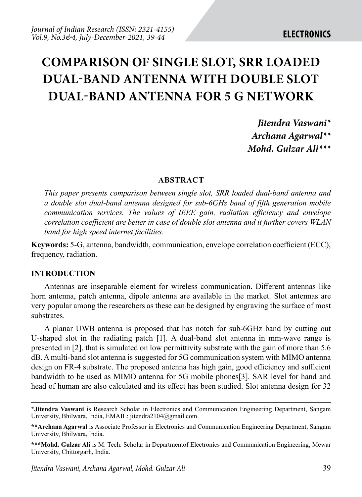# **COMPARISON OF SINGLE SLOT, SRR LOADED DUAL-BAND ANTENNA WITH DOUBLE SLOT DUAL-BAND ANTENNA FOR 5 G NETWORK**

*Jitendra Vaswani\* Archana Agarwal\*\* Mohd. Gulzar Ali\*\*\**

### **ABSTRACT**

*This paper presents comparison between single slot, SRR loaded dual-band antenna and a double slot dual-band antenna designed for sub-6GHz band of fifth generation mobile communication services. The values of IEEE gain, radiation efficiency and envelope correlation coefficient are better in case of double slot antenna and it further covers WLAN band for high speed internet facilities.* 

**Keywords:** 5-G, antenna, bandwidth, communication, envelope correlation coefficient (ECC), frequency, radiation.

### **INTRODUCTION**

Antennas are inseparable element for wireless communication. Different antennas like horn antenna, patch antenna, dipole antenna are available in the market. Slot antennas are very popular among the researchers as these can be designed by engraving the surface of most substrates.

A planar UWB antenna is proposed that has notch for sub-6GHz band by cutting out U-shaped slot in the radiating patch [1]. A dual-band slot antenna in mm-wave range is presented in [2], that is simulated on low permittivity substrate with the gain of more than 5.6 dB. A multi-band slot antenna is suggested for 5G communication system with MIMO antenna design on FR-4 substrate. The proposed antenna has high gain, good efficiency and sufficient bandwidth to be used as MIMO antenna for 5G mobile phones[3]. SAR level for hand and head of human are also calculated and its effect has been studied. Slot antenna design for 32

**<sup>\*</sup>Jitendra Vaswani** is Research Scholar in Electronics and Communication Engineering Department, Sangam University, Bhilwara, India, EMAIL: jitendra2104@gmail.com.

**<sup>\*\*</sup>Archana Agarwal** is Associate Professor in Electronics and Communication Engineering Department, Sangam University, Bhilwara, India.

**<sup>\*\*\*</sup>Mohd. Gulzar Ali** is M. Tech. Scholar in Departmentof Electronics and Communication Engineering, Mewar University, Chittorgarh, India.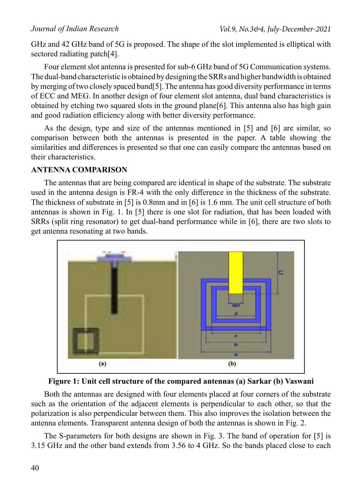GHz and 42 GHz band of 5G is proposed. The shape of the slot implemented is elliptical with sectored radiating patch[4].

Four element slot antenna is presented for sub-6 GHz band of 5G Communication systems. The dual-band characteristic is obtained by designing the SRRs and higher bandwidth is obtained by merging of two closely spaced band[5]. The antenna has good diversity performance in terms of ECC and MEG. In another design of four element slot antenna, dual band characteristics is obtained by etching two squared slots in the ground plane[6]. This antenna also has high gain and good radiation efficiency along with better diversity performance.

As the design, type and size of the antennas mentioned in [5] and [6] are similar, so comparison between both the antennas is presented in the paper. A table showing the similarities and differences is presented so that one can easily compare the antennas based on their characteristics.

### **ANTENNA COMPARISON**

The antennas that are being compared are identical in shape of the substrate. The substrate used in the antenna design is FR-4 with the only difference in the thickness of the substrate. The thickness of substrate in [5] is 0.8mm and in [6] is 1.6 mm. The unit cell structure of both antennas is shown in Fig. 1. In [5] there is one slot for radiation, that has been loaded with SRRs (split ring resonator) to get dual-band performance while in [6], there are two slots to get antenna resonating at two bands.



**Figure 1: Unit cell structure of the compared antennas (a) Sarkar (b) Vaswani**

Both the antennas are designed with four elements placed at four corners of the substrate such as the orientation of the adjacent elements is perpendicular to each other, so that the polarization is also perpendicular between them. This also improves the isolation between the antenna elements. Transparent antenna design of both the antennas is shown in Fig. 2.

The S-parameters for both designs are shown in Fig. 3. The band of operation for [5] is 3.15 GHz and the other band extends from 3.56 to 4 GHz. So the bands placed close to each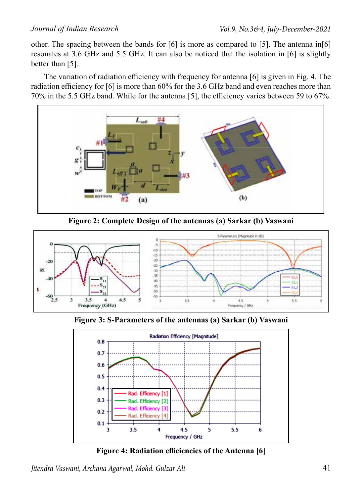other. The spacing between the bands for [6] is more as compared to [5]. The antenna in[6] resonates at 3.6 GHz and 5.5 GHz. It can also be noticed that the isolation in [6] is slightly better than [5].

The variation of radiation efficiency with frequency for antenna [6] is given in Fig. 4. The radiation efficiency for [6] is more than 60% for the 3.6 GHz band and even reaches more than 70% in the 5.5 GHz band. While for the antenna [5], the efficiency varies between 59 to 67%.



**Figure 2: Complete Design of the antennas (a) Sarkar (b) Vaswani**



**Figure 3: S-Parameters of the antennas (a) Sarkar (b) Vaswani**



**Figure 4: Radiation efficiencies of the Antenna [6]**

*Jitendra Vaswani, Archana Agarwal, Mohd. Gulzar Ali*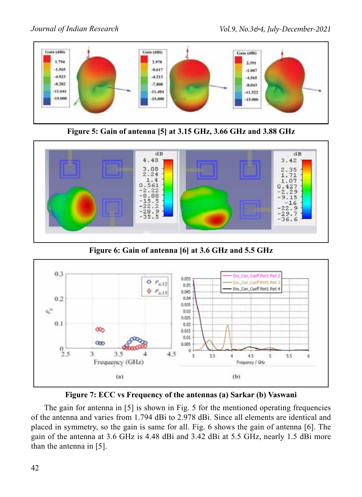

**Figure 5: Gain of antenna [5] at 3.15 GHz, 3.66 GHz and 3.88 GHz**



**Figure 6: Gain of antenna [6] at 3.6 GHz and 5.5 GHz**





The gain for antenna in [5] is shown in Fig. 5 for the mentioned operating frequencies of the antenna and varies from 1.794 dBi to 2.978 dBi. Since all elements are identical and placed in symmetry, so the gain is same for all. Fig. 6 shows the gain of antenna [6]. The gain of the antenna at 3.6 GHz is 4.48 dBi and 3.42 dBi at 5.5 GHz, nearly 1.5 dBi more than the antenna in [5].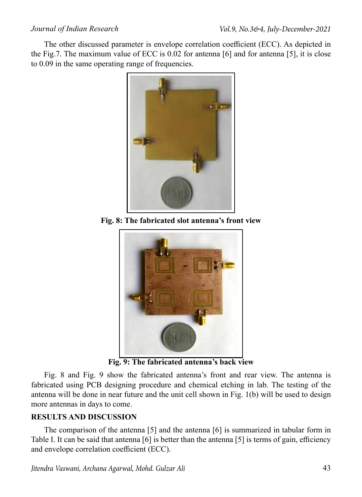The other discussed parameter is envelope correlation coefficient (ECC). As depicted in the Fig.7. The maximum value of ECC is 0.02 for antenna [6] and for antenna [5], it is close to 0.09 in the same operating range of frequencies.



**Fig. 8: The fabricated slot antenna's front view**



**Fig. 9: The fabricated antenna's back view**

Fig. 8 and Fig. 9 show the fabricated antenna's front and rear view. The antenna is fabricated using PCB designing procedure and chemical etching in lab. The testing of the antenna will be done in near future and the unit cell shown in Fig. 1(b) will be used to design more antennas in days to come.

# **RESULTS AND DISCUSSION**

The comparison of the antenna [5] and the antenna [6] is summarized in tabular form in Table I. It can be said that antenna [6] is better than the antenna [5] is terms of gain, efficiency and envelope correlation coefficient (ECC).